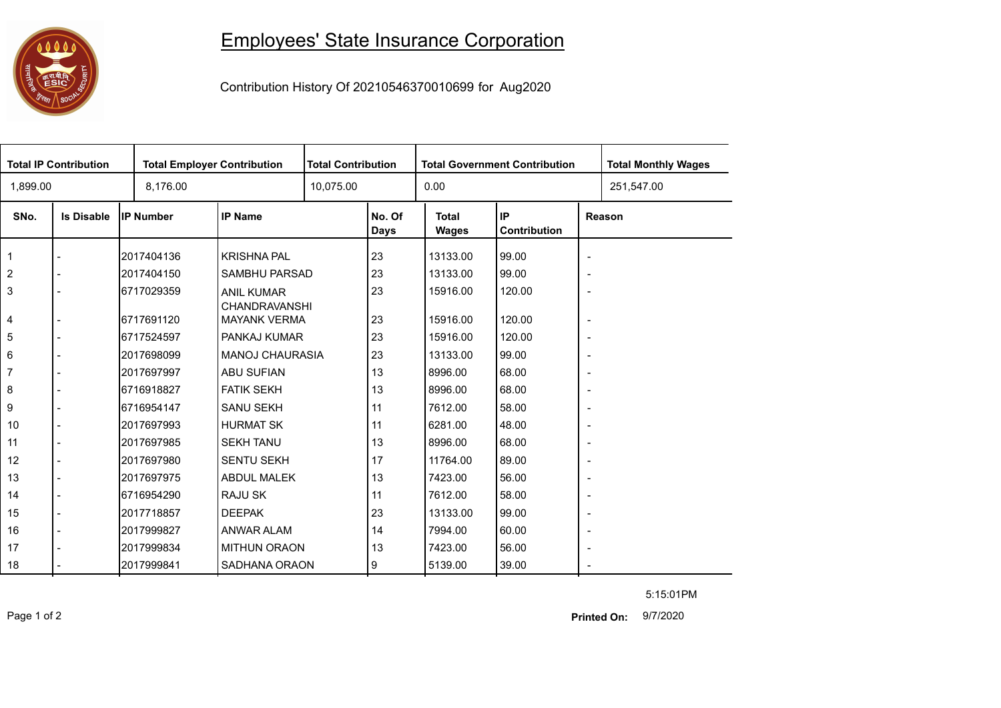## 

## Employees' State Insurance Corporation

Contribution History Of 20210546370010699 for Aug2020

|                | <b>Total IP Contribution</b> |                  | <b>Total Employer Contribution</b>          |  | <b>Total Contribution</b> |                       | <b>Total Government Contribution</b> | <b>Total Monthly Wages</b> |            |  |
|----------------|------------------------------|------------------|---------------------------------------------|--|---------------------------|-----------------------|--------------------------------------|----------------------------|------------|--|
| 1,899.00       |                              | 8,176.00         |                                             |  | 10,075.00                 |                       |                                      |                            | 251,547.00 |  |
| SNo.           | <b>Is Disable</b>            | <b>IP Number</b> | <b>IP Name</b>                              |  | No. Of<br><b>Days</b>     | <b>Total</b><br>Wages | IP<br>Contribution                   | Reason                     |            |  |
| 1              |                              | 2017404136       | <b>KRISHNA PAL</b>                          |  | 23                        | 13133.00              | 99.00                                | $\overline{\phantom{a}}$   |            |  |
| $\overline{2}$ |                              | 2017404150       | SAMBHU PARSAD                               |  | 23                        | 13133.00              | 99.00                                | $\overline{\phantom{a}}$   |            |  |
| 3              |                              | 6717029359       | <b>ANIL KUMAR</b>                           |  | 23                        | 15916.00              | 120.00                               | $\overline{\phantom{a}}$   |            |  |
| 4              |                              | 6717691120       | <b>CHANDRAVANSHI</b><br><b>MAYANK VERMA</b> |  | 23                        | 15916.00              | 120.00                               | $\overline{\phantom{a}}$   |            |  |
| 5              |                              | 6717524597       | PANKAJ KUMAR                                |  | 23                        | 15916.00              | 120.00                               | $\overline{\phantom{a}}$   |            |  |
| 6              |                              | 2017698099       | <b>MANOJ CHAURASIA</b>                      |  | 23                        | 13133.00              | 99.00                                | $\overline{\phantom{a}}$   |            |  |
| 7              |                              | 2017697997       | ABU SUFIAN                                  |  | 13                        | 8996.00               | 68.00                                | $\overline{\phantom{a}}$   |            |  |
| 8              |                              | 6716918827       | <b>FATIK SEKH</b>                           |  | 13                        | 8996.00               | 68.00                                | $\overline{\phantom{a}}$   |            |  |
| 9              |                              | 6716954147       | <b>SANU SEKH</b>                            |  | 11                        | 7612.00               | 58.00                                | $\overline{\phantom{a}}$   |            |  |
| 10             |                              | 2017697993       | <b>HURMAT SK</b>                            |  | 11                        | 6281.00               | 48.00                                | $\overline{\phantom{a}}$   |            |  |
| 11             |                              | 2017697985       | <b>SEKH TANU</b>                            |  | 13                        | 8996.00               | 68.00                                | $\overline{\phantom{a}}$   |            |  |
| 12             |                              | 2017697980       | <b>SENTU SEKH</b>                           |  | 17                        | 11764.00              | 89.00                                | $\overline{\phantom{a}}$   |            |  |
| 13             |                              | 2017697975       | <b>ABDUL MALEK</b>                          |  | 13                        | 7423.00               | 56.00                                | $\overline{\phantom{a}}$   |            |  |
| 14             |                              | 6716954290       | RAJU SK                                     |  | 11                        | 7612.00               | 58.00                                | $\overline{\phantom{a}}$   |            |  |
| 15             |                              | 2017718857       | <b>DEEPAK</b>                               |  | 23                        | 13133.00              | 99.00                                | $\overline{\phantom{a}}$   |            |  |
| 16             |                              | 2017999827       | ANWAR ALAM                                  |  | 14                        | 7994.00               | 60.00                                | $\overline{\phantom{a}}$   |            |  |
| 17             |                              | 2017999834       | <b>MITHUN ORAON</b>                         |  | 13                        | 7423.00               | 56.00                                | $\overline{\phantom{a}}$   |            |  |
| 18             |                              | 2017999841       | SADHANA ORAON                               |  | 9                         | 5139.00               | 39.00                                | $\sim$                     |            |  |

5:15:01PM